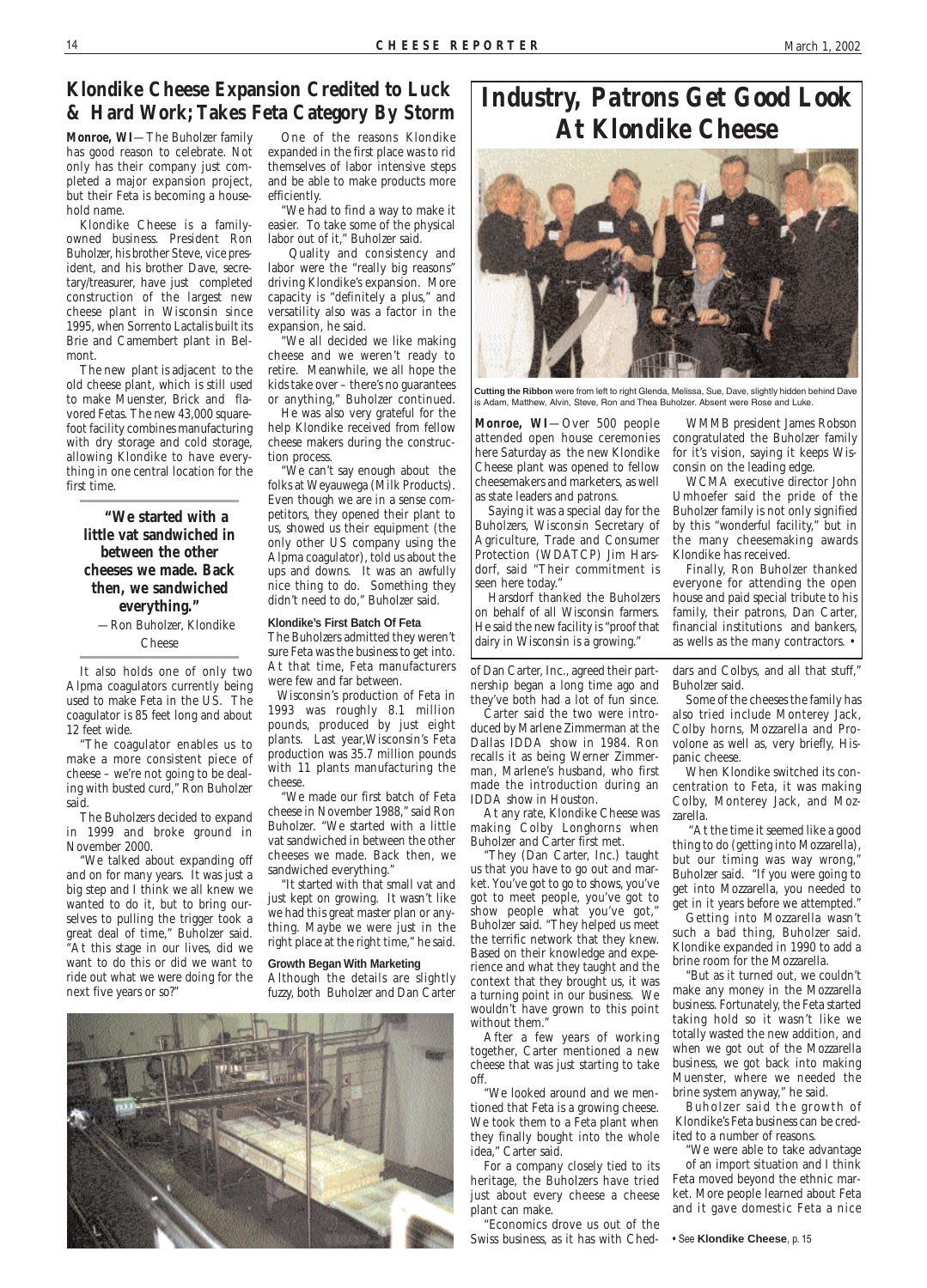## **Klondike Cheese Expansion Credited to Luck & Hard Work;Takes Feta Category By Storm**

**Monroe, WI**—The Buholzer family has good reason to celebrate. Not only has their company just completed a major expansion project, but their Feta is becoming a household name.

Klondike Cheese is a familyowned business. President Ron Buholzer, his brother Steve, vice president, and his brother Dave, secretary/treasurer, have just completed construction of the largest new cheese plant in Wisconsin since 1995, when Sorrento Lactalis built its Brie and Camembert plant in Belmont.

The new plant is adjacent to the old cheese plant, which is still used to make Muenster, Brick and flavored Fetas. The new 43,000 squarefoot facility combines manufacturing with dry storage and cold storage, allowing Klondike to have everything in one central location for the first time.

**"We started with a little vat sandwiched in between the other cheeses we made. Back then, we sandwiched everything."** —Ron Buholzer, Klondike

Cheese

It also holds one of only two Alpma coagulators currently being used to make Feta in the US. The coagulator is 85 feet long and about 12 feet wide.

"The coagulator enables us to make a more consistent piece of cheese – we're not going to be dealing with busted curd," Ron Buholzer said.

The Buholzers decided to expand in 1999 and broke ground in November 2000.

"We talked about expanding off and on for many years. It was just a big step and I think we all knew we wanted to do it, but to bring ourselves to pulling the trigger took a great deal of time," Buholzer said. "At this stage in our lives, did we want to do this or did we want to ride out what we were doing for the next five years or so?"

# *Industry, Patrons Get Good Look At Klondike Cheese*



**Monroe, WI**—Over 500 people attended open house ceremonies here Saturday as the new Klondike Cheese plant was opened to fellow cheesemakers and marketers, as well as state leaders and patrons.

Saying it was a special day for the Buholzers, Wisconsin Secretary of Agriculture, Trade and Consumer Protection (WDATCP) Jim Harsdorf, said "Their commitment is seen here today."

Harsdorf thanked the Buholzers on behalf of all Wisconsin farmers. He said the new facility is "proof that dairy in Wisconsin is a growing."

WMMB president James Robson congratulated the Buholzer family for it's vision, saying it keeps Wisconsin on the leading edge.

WCMA executive director John Umhoefer said the pride of the Buholzer family is not only signified by this "wonderful facility," but in the many cheesemaking awards Klondike has received.

Finally, Ron Buholzer thanked everyone for attending the open house and paid special tribute to his family, their patrons, Dan Carter, financial institutions and bankers, as wells as the many contractors. •

of Dan Carter, Inc., agreed their partnership began a long time ago and they've both had a lot of fun since.

Carter said the two were introduced by Marlene Zimmerman at the Dallas IDDA show in 1984. Ron recalls it as being Werner Zimmerman, Marlene's husband, who first made the introduction during an IDDA show in Houston.

At any rate, Klondike Cheese was making Colby Longhorns when Buholzer and Carter first met.

"They (Dan Carter, Inc.) taught us that you have to go out and market. You've got to go to shows, you've got to meet people, you've got to show people what you've got," Buholzer said. "They helped us meet the terrific network that they knew. Based on their knowledge and experience and what they taught and the context that they brought us, it was a turning point in our business. We

wouldn't have grown to this point without them."

After a few years of working together, Carter mentioned a new cheese that was just starting to take off.

"We looked around and we mentioned that Feta is a growing cheese. We took them to a Feta plant when they finally bought into the whole idea," Carter said.

For a company closely tied to its heritage, the Buholzers have tried just about every cheese a cheese plant can make.

"Economics drove us out of the Swiss business, as it has with Ched-

dars and Colbys, and all that stuff," Buholzer said.

Some of the cheeses the family has also tried include Monterey Jack, Colby horns, Mozzarella and Provolone as well as, very briefly, Hispanic cheese.

When Klondike switched its concentration to Feta, it was making Colby, Monterey Jack, and Mozzarella.

"At the time it seemed like a good thing to do (getting into Mozzarella), but our timing was way wrong," Buholzer said. "If you were going to get into Mozzarella, you needed to get in it years before we attempted."

Getting into Mozzarella wasn't such a bad thing, Buholzer said. Klondike expanded in 1990 to add a brine room for the Mozzarella.

"But as it turned out, we couldn't make any money in the Mozzarella business. Fortunately, the Feta started taking hold so it wasn't like we totally wasted the new addition, and when we got out of the Mozzarella business, we got back into making Muenster, where we needed the brine system anyway," he said. Buholzer said the growth of Klondike's Feta business can be credited to a number of reasons. "We were able to take advantage of an import situation and I think Feta moved beyond the ethnic market. More people learned about Feta and it gave domestic Feta a nice



• See **Klondike Cheese**, p. 15

One of the reasons Klondike expanded in the first place was to rid themselves of labor intensive steps and be able to make products more efficiently.

"We had to find a way to make it easier. To take some of the physical labor out of it," Buholzer said.

Quality and consistency and labor were the "really big reasons" driving Klondike's expansion. More capacity is "definitely a plus," and versatility also was a factor in the expansion, he said.

"We all decided we like making cheese and we weren't ready to retire. Meanwhile, we all hope the kids take over – there's no guarantees or anything," Buholzer continued.

He was also very grateful for the help Klondike received from fellow cheese makers during the construction process.

"We can't say enough about the folks at Weyauwega (Milk Products). Even though we are in a sense competitors, they opened their plant to us, showed us their equipment (the only other US company using the Alpma coagulator), told us about the ups and downs. It was an awfully nice thing to do. Something they didn't need to do," Buholzer said.

### **Klondike's First Batch Of Feta**

The Buholzers admitted they weren't sure Feta was the business to get into. At that time, Feta manufacturers were few and far between.

Wisconsin's production of Feta in 1993 was roughly 8.1 million pounds, produced by just eight plants. Last year,Wisconsin's Feta production was 35.7 million pounds with 11 plants manufacturing the cheese.

"We made our first batch of Feta cheese in November 1988," said Ron Buholzer. "We started with a little vat sandwiched in between the other cheeses we made. Back then, we sandwiched everything."

"It started with that small vat and just kept on growing. It wasn't like we had this great master plan or anything. Maybe we were just in the right place at the right time," he said.

### **Growth Began With Marketing**

Although the details are slightly fuzzy, both Buholzer and Dan Carter **Cutting the Ribbon** were from left to right Glenda, Melissa, Sue, Dave, slightly hidden behind Dave is Adam, Matthew, Alvin, Steve, Ron and Thea Buholzer. Absent were Rose and Luke.